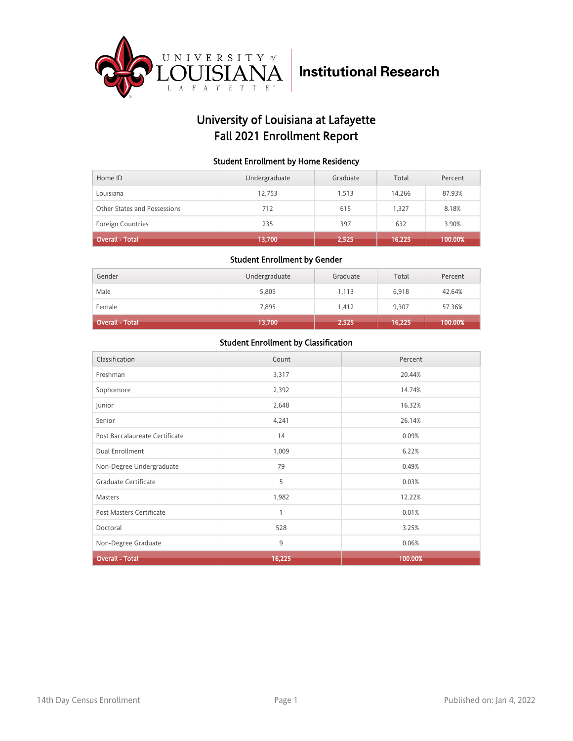

## University of Louisiana at Lafayette Fall 2021 Enrollment Report

#### Student Enrollment by Home Residency

| Home ID                      | Undergraduate | Graduate | Total  | Percent |
|------------------------------|---------------|----------|--------|---------|
| Louisiana                    | 12.753        | 1.513    | 14.266 | 87.93%  |
| Other States and Possessions | 712           | 615      | 1.327  | 8.18%   |
| <b>Foreign Countries</b>     | 235           | 397      | 632    | 3.90%   |
| <b>Overall - Total</b>       | 13,700        | 2,525    | 16,225 | 100.00% |

#### Student Enrollment by Gender

| Gender                 | Undergraduate | Graduate | Total  | Percent |
|------------------------|---------------|----------|--------|---------|
| Male                   | 5,805         | 1,113    | 6,918  | 42.64%  |
| Female                 | 7,895         | 1,412    | 9,307  | 57.36%  |
| <b>Overall - Total</b> | 13,700        | 2,525    | 16,225 | 100.00% |

| Classification                  | Count        | Percent |
|---------------------------------|--------------|---------|
| Freshman                        | 3,317        | 20.44%  |
| Sophomore                       | 2,392        | 14.74%  |
| Junior                          | 2,648        | 16.32%  |
| Senior                          | 4,241        | 26.14%  |
| Post Baccalaureate Certificate  | 14           | 0.09%   |
| Dual Enrollment                 | 1,009        | 6.22%   |
| Non-Degree Undergraduate        | 79           | 0.49%   |
| Graduate Certificate            | 5            | 0.03%   |
| Masters                         | 1,982        | 12.22%  |
| <b>Post Masters Certificate</b> | $\mathbf{1}$ | 0.01%   |
| Doctoral                        | 528          | 3.25%   |
| Non-Degree Graduate             | 9            | 0.06%   |
| <b>Overall - Total</b>          | 16,225       | 100.00% |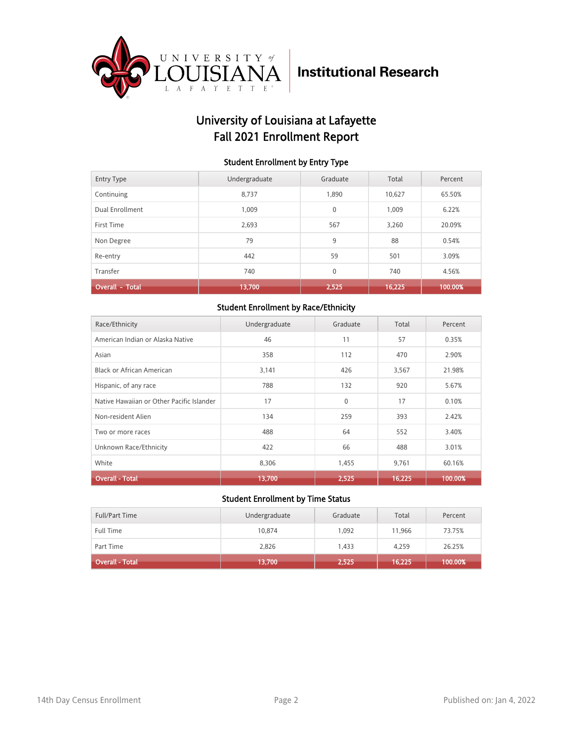

## University of Louisiana at Lafayette Fall 2021 Enrollment Report

#### Student Enrollment by Entry Type

| <b>Entry Type</b>      | Undergraduate | Graduate     | Total  | Percent |
|------------------------|---------------|--------------|--------|---------|
| Continuing             | 8.737         | 1.890        | 10.627 | 65.50%  |
| Dual Enrollment        | 1.009         | $\mathbf{0}$ | 1.009  | 6.22%   |
| First Time             | 2.693         | 567          | 3.260  | 20.09%  |
| Non Degree             | 79            | 9            | 88     | 0.54%   |
| Re-entry               | 442           | 59           | 501    | 3.09%   |
| Transfer               | 740           | $\mathbf{0}$ | 740    | 4.56%   |
| <b>Overall - Total</b> | 13,700        | 2,525        | 16,225 | 100.00% |

#### Student Enrollment by Race/Ethnicity

| Race/Ethnicity                            | Undergraduate | Graduate | Total  | Percent |
|-------------------------------------------|---------------|----------|--------|---------|
| American Indian or Alaska Native          | 46            | 11       | 57     | 0.35%   |
| Asian                                     | 358           | 112      | 470    | 2.90%   |
| Black or African American                 | 3,141         | 426      | 3,567  | 21.98%  |
| Hispanic, of any race                     | 788           | 132      | 920    | 5.67%   |
| Native Hawaiian or Other Pacific Islander | 17            | $\Omega$ | 17     | 0.10%   |
| Non-resident Alien                        | 134           | 259      | 393    | 2.42%   |
| Two or more races                         | 488           | 64       | 552    | 3.40%   |
| Unknown Race/Ethnicity                    | 422           | 66       | 488    | 3.01%   |
| White                                     | 8,306         | 1,455    | 9,761  | 60.16%  |
| <b>Overall - Total</b>                    | 13,700        | 2,525    | 16,225 | 100.00% |

| <b>Full/Part Time</b> | Undergraduate | Graduate | Total  | Percent |
|-----------------------|---------------|----------|--------|---------|
| <b>Full Time</b>      | 10.874        | 1.092    | 11.966 | 73.75%  |
| Part Time             | 2,826         | 1.433    | 4,259  | 26.25%  |
| Overall - Total       | (13,700)      | 2,525    | 16,225 | 100.00% |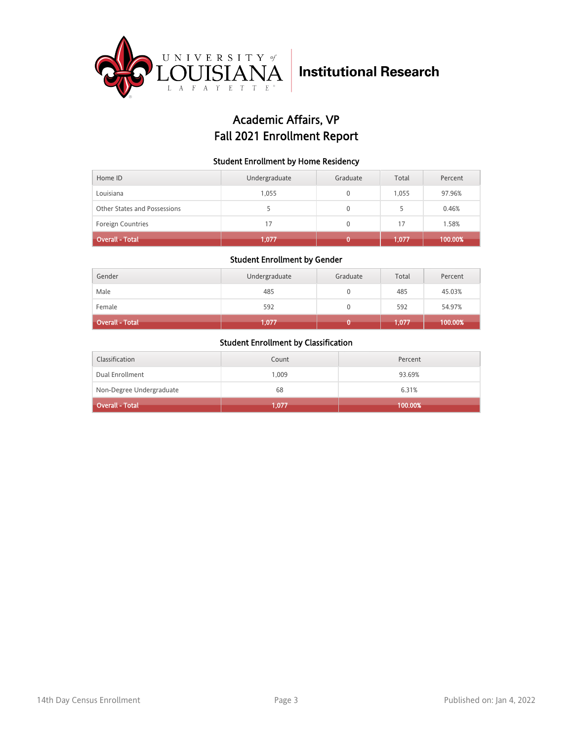

## Academic Affairs, VP Fall 2021 Enrollment Report

#### Student Enrollment by Home Residency

| Home ID                      | Undergraduate | Graduate | Total | Percent |
|------------------------------|---------------|----------|-------|---------|
| Louisiana                    | 1,055         |          | 1.055 | 97.96%  |
| Other States and Possessions |               | 0        |       | 0.46%   |
| <b>Foreign Countries</b>     | 17            | 0        | 17    | 1.58%   |
| <b>Overall - Total</b>       | 1,077         |          | 1,077 | 100.00% |

#### Student Enrollment by Gender

| Gender                 | Undergraduate | Graduate | Total | Percent |
|------------------------|---------------|----------|-------|---------|
| Male                   | 485           |          | 485   | 45.03%  |
| Female                 | 592           |          | 592   | 54.97%  |
| <b>Overall - Total</b> | 1,077         |          | 1,077 | 100.00% |

| Classification           | Count | Percent |
|--------------------------|-------|---------|
| Dual Enrollment          | 1.009 | 93.69%  |
| Non-Degree Undergraduate | 68    | 6.31%   |
| <b>Overall - Total</b>   | 1.077 | 100.00% |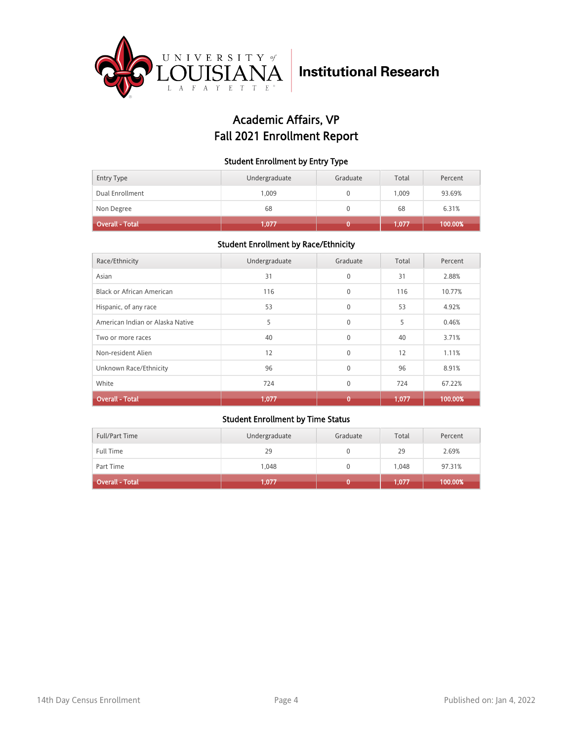

## Academic Affairs, VP Fall 2021 Enrollment Report

#### Student Enrollment by Entry Type

| <b>Entry Type</b> | Undergraduate | Graduate | Total | Percent |
|-------------------|---------------|----------|-------|---------|
| Dual Enrollment   | 1.009         |          | 1.009 | 93.69%  |
| Non Degree        | 68            |          | 68    | 6.31%   |
| Overall - Total   | 1.077         |          | 1.077 | 100.00% |

### Student Enrollment by Race/Ethnicity

| Race/Ethnicity                   | Undergraduate | Graduate     | Total | Percent |
|----------------------------------|---------------|--------------|-------|---------|
| Asian                            | 31            | $\mathbf{0}$ | 31    | 2.88%   |
| Black or African American        | 116           | $\Omega$     | 116   | 10.77%  |
| Hispanic, of any race            | 53            | $\Omega$     | 53    | 4.92%   |
| American Indian or Alaska Native | 5             | $\mathbf{0}$ | 5     | 0.46%   |
| Two or more races                | 40            | $\Omega$     | 40    | 3.71%   |
| Non-resident Alien               | 12            | $\Omega$     | 12    | 1.11%   |
| Unknown Race/Ethnicity           | 96            | $\Omega$     | 96    | 8.91%   |
| White                            | 724           | $\mathbf{0}$ | 724   | 67.22%  |
| <b>Overall - Total</b>           | 1,077         | 0            | 1,077 | 100.00% |

| <b>Full/Part Time</b>  | Undergraduate | Graduate | Total | Percent |
|------------------------|---------------|----------|-------|---------|
| <b>Full Time</b>       | 29            |          | 29    | 2.69%   |
| Part Time              | 1.048         |          | 1.048 | 97.31%  |
| <b>Overall - Total</b> | 1,077         |          | 1,077 | 100.00% |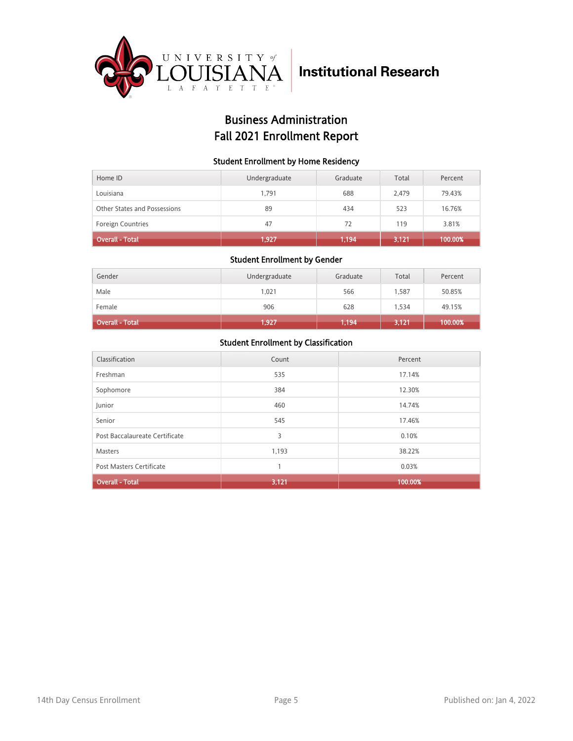

## Business Administration Fall 2021 Enrollment Report

#### Student Enrollment by Home Residency

| Home ID                      | Undergraduate | Graduate | Total | Percent |
|------------------------------|---------------|----------|-------|---------|
| Louisiana                    | 1.791         | 688      | 2.479 | 79.43%  |
| Other States and Possessions | 89            | 434      | 523   | 16.76%  |
| <b>Foreign Countries</b>     | 47            | 72       | 119   | 3.81%   |
| <b>Overall - Total</b>       | 1,927         | 1,194    | 3,121 | 100.00% |

#### Student Enrollment by Gender

| Gender                 | Undergraduate | Graduate | Total | Percent |
|------------------------|---------------|----------|-------|---------|
| Male                   | 1,021         | 566      | 1,587 | 50.85%  |
| Female                 | 906           | 628      | 1,534 | 49.15%  |
| <b>Overall - Total</b> | 1,927         | 1,194    | 3,121 | 100.00% |

| Classification                 | Count | Percent |
|--------------------------------|-------|---------|
| Freshman                       | 535   | 17.14%  |
| Sophomore                      | 384   | 12.30%  |
| Junior                         | 460   | 14.74%  |
| Senior                         | 545   | 17.46%  |
| Post Baccalaureate Certificate | 3     | 0.10%   |
| Masters                        | 1,193 | 38.22%  |
| Post Masters Certificate       |       | 0.03%   |
| <b>Overall - Total</b>         | 3,121 | 100.00% |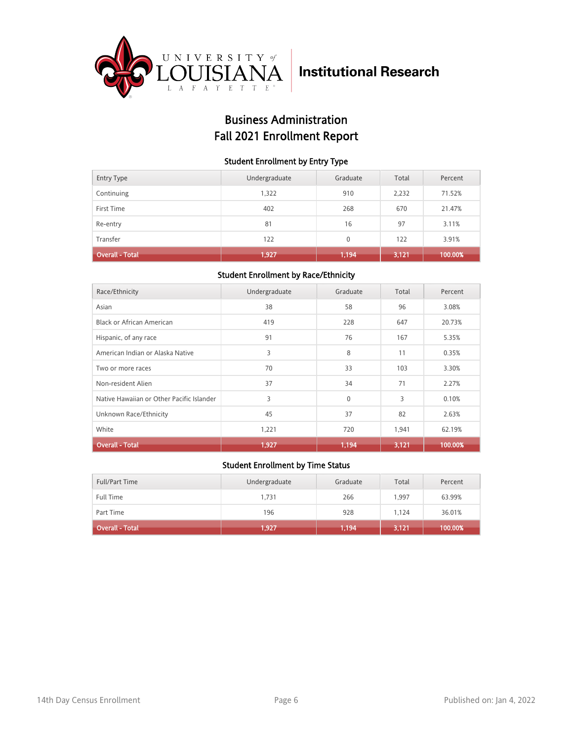

## Business Administration Fall 2021 Enrollment Report

#### Student Enrollment by Entry Type

| <b>Entry Type</b>      | Undergraduate | Graduate | Total | Percent |
|------------------------|---------------|----------|-------|---------|
| Continuing             | 1,322         | 910      | 2,232 | 71.52%  |
| First Time             | 402           | 268      | 670   | 21.47%  |
| Re-entry               | 81            | 16       | 97    | 3.11%   |
| Transfer               | 122           | $\Omega$ | 122   | 3.91%   |
| <b>Overall - Total</b> | 1,927         | 1,194    | 3,121 | 100.00% |

### Student Enrollment by Race/Ethnicity

| Race/Ethnicity                            | Undergraduate | Graduate     | Total | Percent |
|-------------------------------------------|---------------|--------------|-------|---------|
| Asian                                     | 38            | 58           | 96    | 3.08%   |
| Black or African American                 | 419           | 228          | 647   | 20.73%  |
| Hispanic, of any race                     | 91            | 76           | 167   | 5.35%   |
| American Indian or Alaska Native          | 3             | 8            | 11    | 0.35%   |
| Two or more races                         | 70            | 33           | 103   | 3.30%   |
| Non-resident Alien                        | 37            | 34           | 71    | 2.27%   |
| Native Hawaiian or Other Pacific Islander | 3             | $\mathbf{0}$ | 3     | 0.10%   |
| Unknown Race/Ethnicity                    | 45            | 37           | 82    | 2.63%   |
| White                                     | 1,221         | 720          | 1,941 | 62.19%  |
| <b>Overall - Total</b>                    | 1,927         | 1,194        | 3,121 | 100.00% |

| Full/Part Time               | Undergraduate | Graduate | Total | Percent |
|------------------------------|---------------|----------|-------|---------|
| <b>Full Time</b>             | 1,731         | 266      | 1.997 | 63.99%  |
| Part Time                    | 196           | 928      | 1.124 | 36.01%  |
| Overall - Total <sup>1</sup> | 1,927         | 1,194    | 3,121 | 100.00% |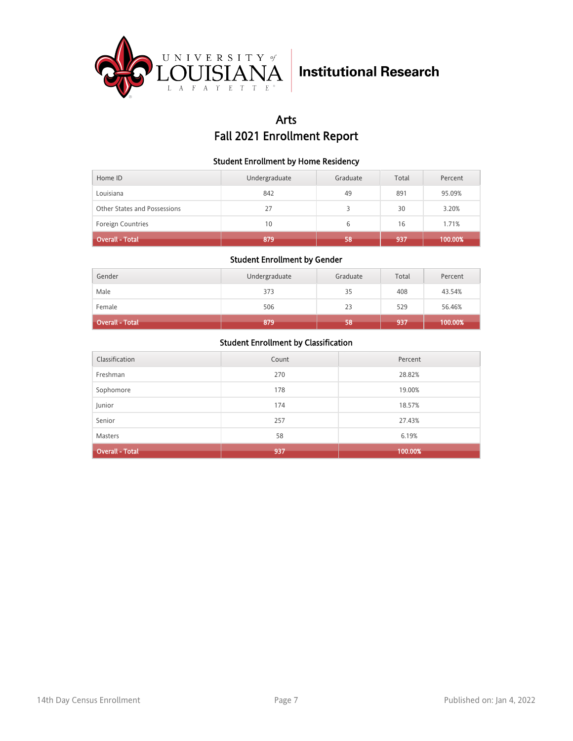

## Arts Fall 2021 Enrollment Report

#### Student Enrollment by Home Residency

| Home ID                      | Undergraduate | Graduate | Total | Percent |
|------------------------------|---------------|----------|-------|---------|
| Louisiana                    | 842           | 49       | 891   | 95.09%  |
| Other States and Possessions | 27            |          | 30    | 3.20%   |
| <b>Foreign Countries</b>     | 10            | 6        | 16    | 1.71%   |
| <b>Overall - Total</b>       | 879           | 58       | 937   | 100.00% |

#### Student Enrollment by Gender

| Gender                 | Undergraduate | Graduate | Total | Percent |
|------------------------|---------------|----------|-------|---------|
| Male                   | 373           | 35       | 408   | 43.54%  |
| Female                 | 506           | 23       | 529   | 56.46%  |
| <b>Overall - Total</b> | 879           | 58       | 937   | 100.00% |

| Classification         | Count | Percent |
|------------------------|-------|---------|
| Freshman               | 270   | 28.82%  |
| Sophomore              | 178   | 19.00%  |
| Junior                 | 174   | 18.57%  |
| Senior                 | 257   | 27.43%  |
| <b>Masters</b>         | 58    | 6.19%   |
| <b>Overall - Total</b> | 937   | 100.00% |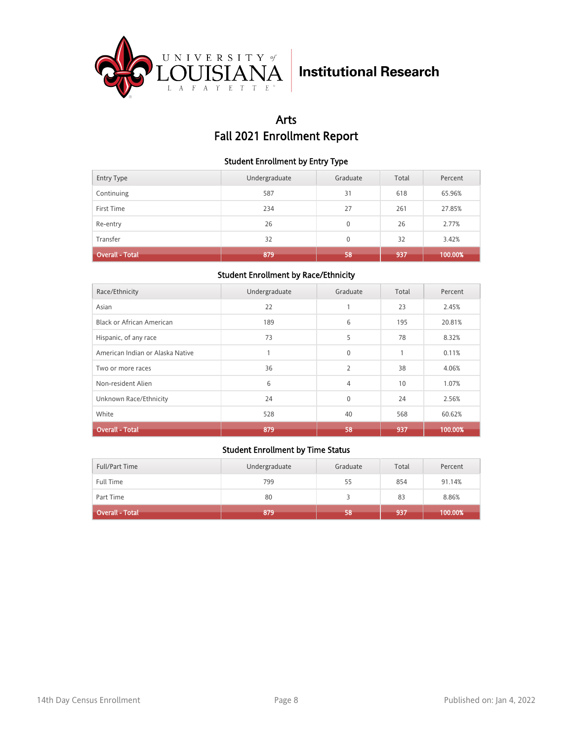

## Arts Fall 2021 Enrollment Report

#### Student Enrollment by Entry Type

| <b>Entry Type</b>      | Undergraduate | Graduate     | Total | Percent |
|------------------------|---------------|--------------|-------|---------|
| Continuing             | 587           | 31           | 618   | 65.96%  |
| First Time             | 234           | 27           | 261   | 27.85%  |
| Re-entry               | 26            | $\mathbf{0}$ | 26    | 2.77%   |
| Transfer               | 32            | $\Omega$     | 32    | 3.42%   |
| <b>Overall - Total</b> | 879           | 58           | 937   | 100.00% |

### Student Enrollment by Race/Ethnicity

| Race/Ethnicity                   | Undergraduate | Graduate       | Total        | Percent |
|----------------------------------|---------------|----------------|--------------|---------|
| Asian                            | 22            |                | 23           | 2.45%   |
| <b>Black or African American</b> | 189           | 6              | 195          | 20.81%  |
| Hispanic, of any race            | 73            | 5              | 78           | 8.32%   |
| American Indian or Alaska Native |               | $\mathbf{0}$   | $\mathbf{1}$ | 0.11%   |
| Two or more races                | 36            | $\overline{2}$ | 38           | 4.06%   |
| Non-resident Alien               | 6             | 4              | 10           | 1.07%   |
| Unknown Race/Ethnicity           | 24            | $\mathbf{0}$   | 24           | 2.56%   |
| White                            | 528           | 40             | 568          | 60.62%  |
| <b>Overall - Total</b>           | 879           | 58             | 937          | 100.00% |

| Full/Part Time         | Undergraduate | Graduate | Total | Percent |
|------------------------|---------------|----------|-------|---------|
| Full Time              | 799           | 55       | 854   | 91.14%  |
| Part Time              | 80            |          | 83    | 8.86%   |
| <b>Overall - Total</b> | 879           | 58       | 937   | 100.00% |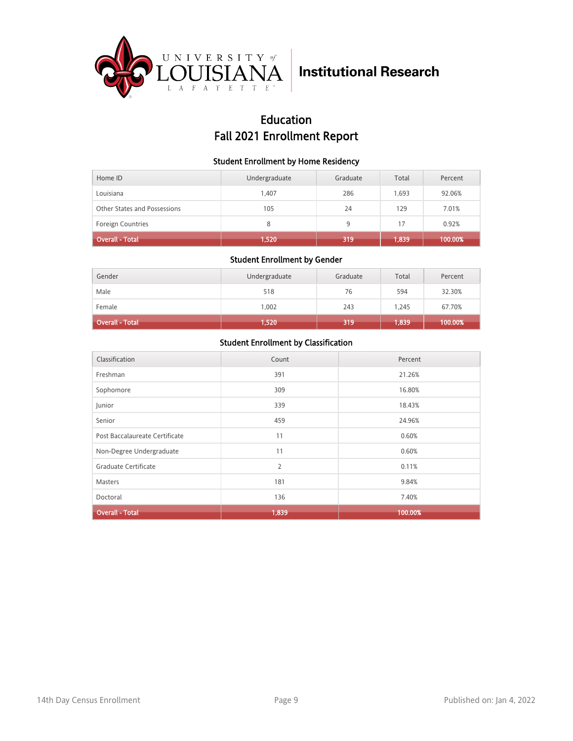

## Education Fall 2021 Enrollment Report

#### Student Enrollment by Home Residency

| Home ID                      | Undergraduate | Graduate | Total | Percent |
|------------------------------|---------------|----------|-------|---------|
| Louisiana                    | 1.407         | 286      | 1.693 | 92.06%  |
| Other States and Possessions | 105           | 24       | 129   | 7.01%   |
| <b>Foreign Countries</b>     | 8             | 9        | 17    | 0.92%   |
| <b>Overall - Total</b>       | 1,520         | 319      | 1,839 | 100.00% |

#### Student Enrollment by Gender

| Gender          | Undergraduate | Graduate | Total | Percent |
|-----------------|---------------|----------|-------|---------|
| Male            | 518           | 76       | 594   | 32.30%  |
| Female          | 1,002         | 243      | 1,245 | 67.70%  |
| Overall - Total | 1,520         | 319      | 1,839 | 100.00% |

| Classification                 | Count | Percent |
|--------------------------------|-------|---------|
| Freshman                       | 391   | 21.26%  |
| Sophomore                      | 309   | 16.80%  |
| Junior                         | 339   | 18.43%  |
| Senior                         | 459   | 24.96%  |
| Post Baccalaureate Certificate | 11    | 0.60%   |
| Non-Degree Undergraduate       | 11    | 0.60%   |
| Graduate Certificate           | 2     | 0.11%   |
| <b>Masters</b>                 | 181   | 9.84%   |
| Doctoral                       | 136   | 7.40%   |
| <b>Overall - Total</b>         | 1,839 | 100.00% |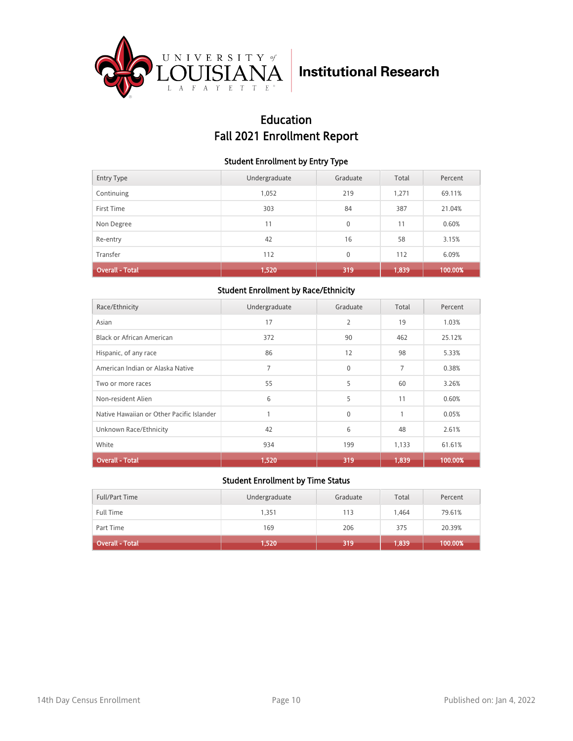

## Education Fall 2021 Enrollment Report

#### Student Enrollment by Entry Type

| <b>Entry Type</b>      | Undergraduate | Graduate     | Total | Percent |
|------------------------|---------------|--------------|-------|---------|
| Continuing             | 1,052         | 219          | 1,271 | 69.11%  |
| First Time             | 303           | 84           | 387   | 21.04%  |
| Non Degree             | 11            | $\mathbf{0}$ | 11    | 0.60%   |
| Re-entry               | 42            | 16           | 58    | 3.15%   |
| Transfer               | 112           | $\mathbf{0}$ | 112   | 6.09%   |
| <b>Overall - Total</b> | 1,520         | 319          | 1,839 | 100.00% |

#### Student Enrollment by Race/Ethnicity

| Race/Ethnicity                            | Undergraduate | Graduate     | Total | Percent |
|-------------------------------------------|---------------|--------------|-------|---------|
| Asian                                     | 17            | 2            | 19    | 1.03%   |
| Black or African American                 | 372           | 90           | 462   | 25.12%  |
| Hispanic, of any race                     | 86            | 12           | 98    | 5.33%   |
| American Indian or Alaska Native          | 7             | $\Omega$     | 7     | 0.38%   |
| Two or more races                         | 55            | 5            | 60    | 3.26%   |
| Non-resident Alien                        | 6             | 5            | 11    | 0.60%   |
| Native Hawaiian or Other Pacific Islander | 1             | $\mathbf{0}$ | 1     | 0.05%   |
| Unknown Race/Ethnicity                    | 42            | 6            | 48    | 2.61%   |
| White                                     | 934           | 199          | 1,133 | 61.61%  |
| <b>Overall - Total</b>                    | 1,520         | 319          | 1,839 | 100.00% |

| Full/Part Time         | Undergraduate | Graduate | Total | Percent |
|------------------------|---------------|----------|-------|---------|
| <b>Full Time</b>       | 1.351         | 113      | 1.464 | 79.61%  |
| Part Time              | 169           | 206      | 375   | 20.39%  |
| <b>Overall - Total</b> | 1,520         | 319      | 1,839 | 100.00% |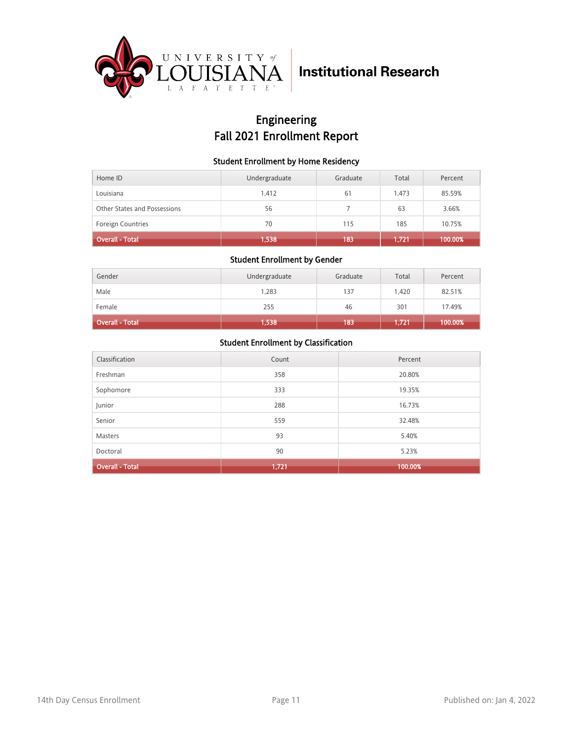

## Engineering Fall 2021 Enrollment Report

#### Student Enrollment by Home Residency

| Home ID                      | Undergraduate | Graduate | Total | Percent |
|------------------------------|---------------|----------|-------|---------|
| Louisiana                    | 1.412         | 61       | 1.473 | 85.59%  |
| Other States and Possessions | 56            |          | 63    | 3.66%   |
| <b>Foreign Countries</b>     | 70            | 115      | 185   | 10.75%  |
| <b>Overall - Total</b>       | 1,538         | 183      | 1,721 | 100.00% |

#### Student Enrollment by Gender

| Gender                 | Undergraduate | Graduate | Total | Percent |
|------------------------|---------------|----------|-------|---------|
| Male                   | 1,283         | 137      | 1,420 | 82.51%  |
| Female                 | 255           | 46       | 301   | 17.49%  |
| <b>Overall - Total</b> | 1,538         | 183      | 1,721 | 100.00% |

| Classification         | Count | Percent |
|------------------------|-------|---------|
| Freshman               | 358   | 20.80%  |
| Sophomore              | 333   | 19.35%  |
| Junior                 | 288   | 16.73%  |
| Senior                 | 559   | 32.48%  |
| <b>Masters</b>         | 93    | 5.40%   |
| Doctoral               | 90    | 5.23%   |
| <b>Overall - Total</b> | 1,721 | 100.00% |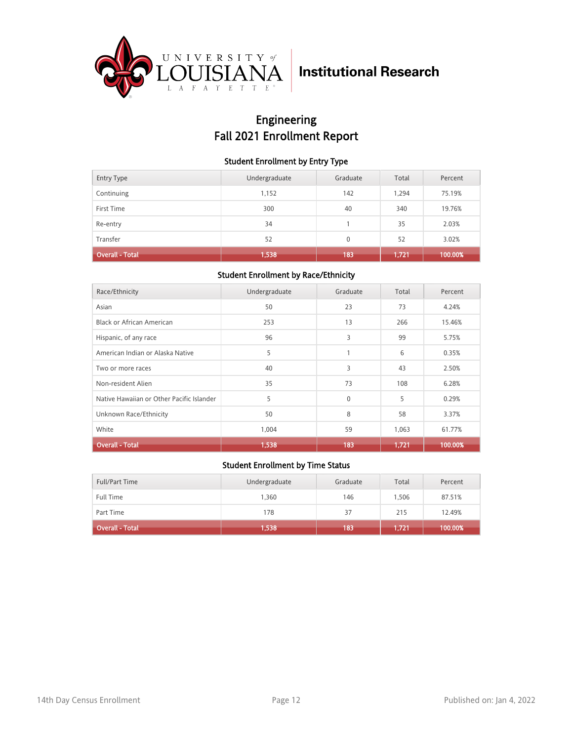

## Engineering Fall 2021 Enrollment Report

#### Student Enrollment by Entry Type

| <b>Entry Type</b>      | Undergraduate | Graduate | Total | Percent |
|------------------------|---------------|----------|-------|---------|
| Continuing             | 1,152         | 142      | 1,294 | 75.19%  |
| First Time             | 300           | 40       | 340   | 19.76%  |
| Re-entry               | 34            |          | 35    | 2.03%   |
| Transfer               | 52            | $\Omega$ | 52    | 3.02%   |
| <b>Overall - Total</b> | 1,538         | 183      | 1,721 | 100.00% |

### Student Enrollment by Race/Ethnicity

| Race/Ethnicity                            | Undergraduate | Graduate     | Total | Percent |
|-------------------------------------------|---------------|--------------|-------|---------|
| Asian                                     | 50            | 23           | 73    | 4.24%   |
| Black or African American                 | 253           | 13           | 266   | 15.46%  |
| Hispanic, of any race                     | 96            | 3            | 99    | 5.75%   |
| American Indian or Alaska Native          | 5             | 1            | 6     | 0.35%   |
| Two or more races                         | 40            | 3            | 43    | 2.50%   |
| Non-resident Alien                        | 35            | 73           | 108   | 6.28%   |
| Native Hawaiian or Other Pacific Islander | 5             | $\mathbf{0}$ | 5     | 0.29%   |
| Unknown Race/Ethnicity                    | 50            | 8            | 58    | 3.37%   |
| White                                     | 1,004         | 59           | 1,063 | 61.77%  |
| <b>Overall - Total</b>                    | 1,538         | 183          | 1,721 | 100.00% |

| Full/Part Time         | Undergraduate | Graduate | Total | Percent |
|------------------------|---------------|----------|-------|---------|
| <b>Full Time</b>       | 1,360         | 146      | 1.506 | 87.51%  |
| Part Time              | 178           | 37       | 215   | 12.49%  |
| <b>Overall - Total</b> | 1,538         | 183      | 1,721 | 100.00% |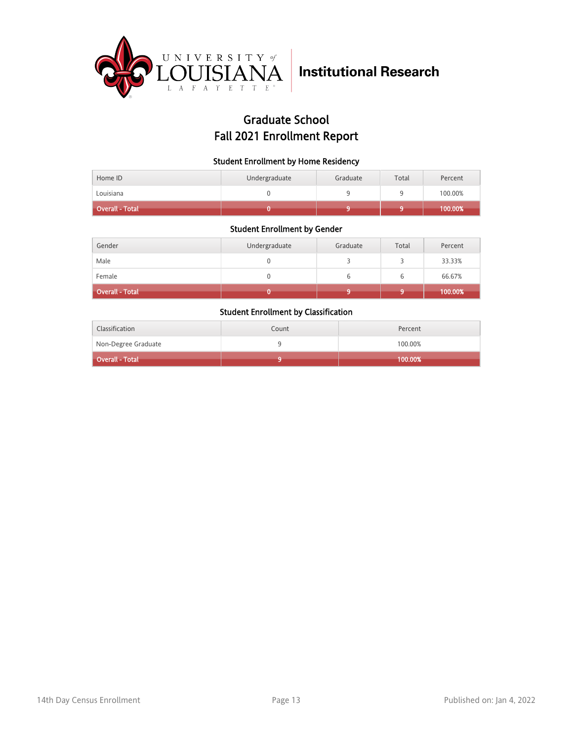

## Graduate School Fall 2021 Enrollment Report

#### Student Enrollment by Home Residency

| Home ID                | Undergraduate | Graduate | Total | Percent |
|------------------------|---------------|----------|-------|---------|
| Louisiana              |               |          |       | 100.00% |
| <b>Overall - Total</b> |               |          |       | 100.00% |

#### Student Enrollment by Gender

| Gender                 | Undergraduate | Graduate | Total | Percent |
|------------------------|---------------|----------|-------|---------|
| Male                   |               |          |       | 33.33%  |
| Female                 |               |          |       | 66.67%  |
| <b>Overall - Total</b> |               |          |       | 100.00% |

| Classification      | Count | Percent |
|---------------------|-------|---------|
| Non-Degree Graduate |       | 100.00% |
| Overall - Total     |       | 100.00% |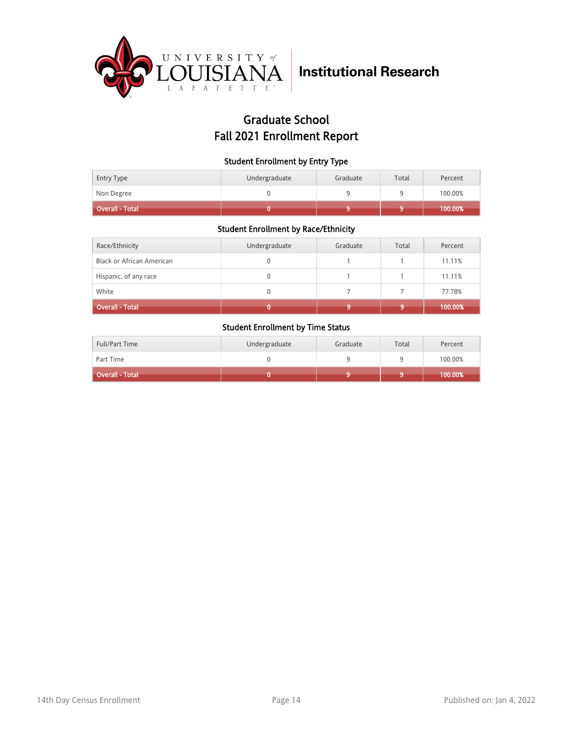

## Graduate School Fall 2021 Enrollment Report

#### Student Enrollment by Entry Type

| <b>Entry Type</b> | Undergraduate | Graduate | Total | Percent |
|-------------------|---------------|----------|-------|---------|
| Non Degree        |               |          |       | 100.00% |
| Overall - Total   |               |          |       | 100.00% |

### Student Enrollment by Race/Ethnicity

| Race/Ethnicity                   | Undergraduate | Graduate | Total | Percent |
|----------------------------------|---------------|----------|-------|---------|
| <b>Black or African American</b> | 0             |          |       | 11.11%  |
| Hispanic, of any race            | 0             |          |       | 11.11%  |
| White                            | 0             |          |       | 77.78%  |
| <b>Overall - Total</b>           |               |          |       | 100.00% |

| <b>Full/Part Time</b> | Undergraduate | Graduate | Total | Percent |
|-----------------------|---------------|----------|-------|---------|
| Part Time             |               |          |       | 100.00% |
| Overall - Total       |               |          |       | 100.00% |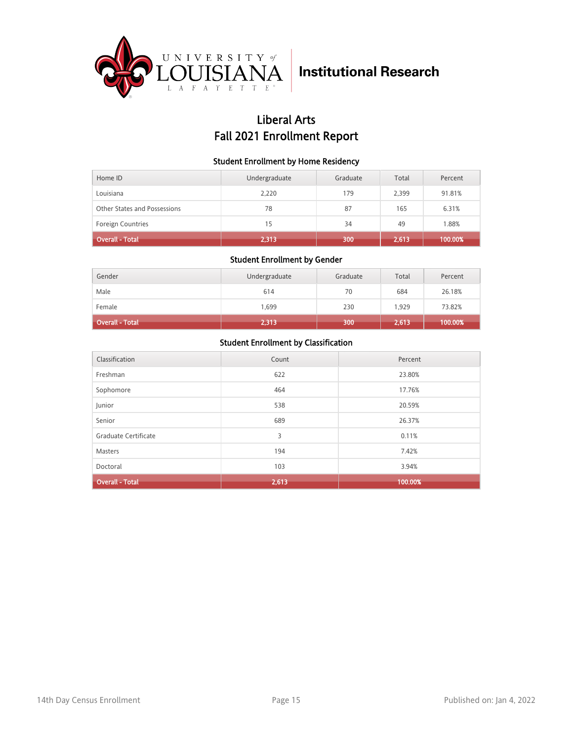

## Liberal Arts Fall 2021 Enrollment Report

#### Student Enrollment by Home Residency

| Home ID                      | Undergraduate | Graduate | Total | Percent |
|------------------------------|---------------|----------|-------|---------|
| Louisiana                    | 2,220         | 179      | 2,399 | 91.81%  |
| Other States and Possessions | 78            | 87       | 165   | 6.31%   |
| <b>Foreign Countries</b>     | 15            | 34       | 49    | 1.88%   |
| <b>Overall - Total</b>       | 2,313         | 300      | 2,613 | 100.00% |

#### Student Enrollment by Gender

| Gender                       | Undergraduate | Graduate | Total | Percent |
|------------------------------|---------------|----------|-------|---------|
| Male                         | 614           | 70       | 684   | 26.18%  |
| Female                       | 1,699         | 230      | 1,929 | 73.82%  |
| Overall - Total <sup> </sup> | 2,313         | 300      | 2,613 | 100.00% |

| Classification         | Count | Percent |
|------------------------|-------|---------|
| Freshman               | 622   | 23.80%  |
| Sophomore              | 464   | 17.76%  |
| Junior                 | 538   | 20.59%  |
| Senior                 | 689   | 26.37%  |
| Graduate Certificate   | 3     | 0.11%   |
| Masters                | 194   | 7.42%   |
| Doctoral               | 103   | 3.94%   |
| <b>Overall - Total</b> | 2,613 | 100.00% |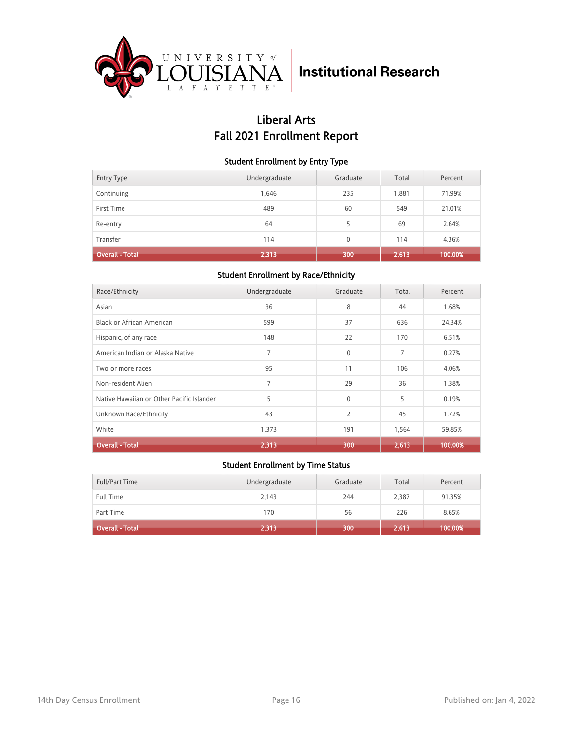

## Liberal Arts Fall 2021 Enrollment Report

#### Student Enrollment by Entry Type

| <b>Entry Type</b>      | Undergraduate | Graduate | Total | Percent |
|------------------------|---------------|----------|-------|---------|
| Continuing             | 1,646         | 235      | 1,881 | 71.99%  |
| First Time             | 489           | 60       | 549   | 21.01%  |
| Re-entry               | 64            | 5        | 69    | 2.64%   |
| Transfer               | 114           | $\Omega$ | 114   | 4.36%   |
| <b>Overall - Total</b> | 2,313         | 300      | 2,613 | 100.00% |

### Student Enrollment by Race/Ethnicity

| Race/Ethnicity                            | Undergraduate  | Graduate | Total | Percent |
|-------------------------------------------|----------------|----------|-------|---------|
| Asian                                     | 36             | 8        | 44    | 1.68%   |
| Black or African American                 | 599            | 37       | 636   | 24.34%  |
| Hispanic, of any race                     | 148            | 22       | 170   | 6.51%   |
| American Indian or Alaska Native          | 7              | $\Omega$ | 7     | 0.27%   |
| Two or more races                         | 95             | 11       | 106   | 4.06%   |
| Non-resident Alien                        | $\overline{7}$ | 29       | 36    | 1.38%   |
| Native Hawaiian or Other Pacific Islander | 5              | $\Omega$ | 5     | 0.19%   |
| Unknown Race/Ethnicity                    | 43             | 2        | 45    | 1.72%   |
| White                                     | 1,373          | 191      | 1,564 | 59.85%  |
| <b>Overall - Total</b>                    | 2,313          | 300      | 2,613 | 100.00% |

| Full/Part Time         | Undergraduate | Graduate | Total | Percent |
|------------------------|---------------|----------|-------|---------|
| <b>Full Time</b>       | 2,143         | 244      | 2.387 | 91.35%  |
| Part Time              | 170           | 56       | 226   | 8.65%   |
| <b>Overall - Total</b> | 2,313         | 300      | 2,613 | 100.00% |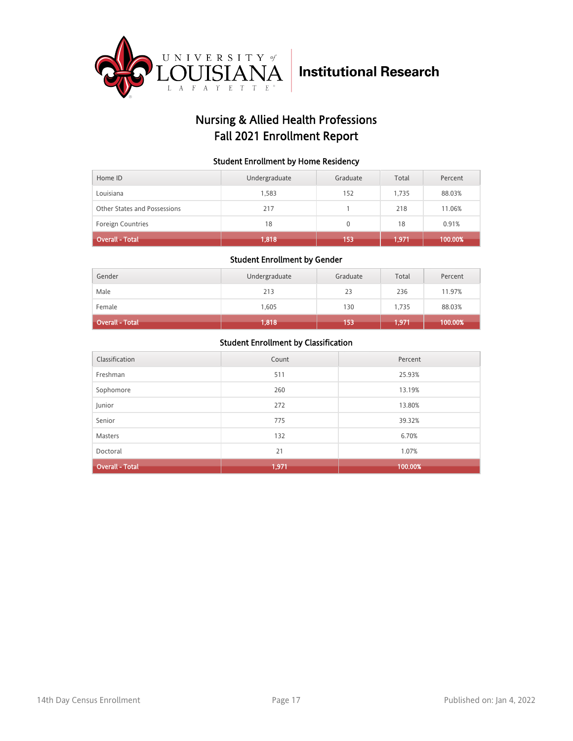

## Nursing & Allied Health Professions Fall 2021 Enrollment Report

#### Student Enrollment by Home Residency

| Home ID                      | Undergraduate | Graduate | Total | Percent |
|------------------------------|---------------|----------|-------|---------|
| Louisiana                    | 1.583         | 152      | 1.735 | 88.03%  |
| Other States and Possessions | 217           |          | 218   | 11.06%  |
| <b>Foreign Countries</b>     | 18            | 0        | 18    | 0.91%   |
| <b>Overall - Total</b>       | 1,818         | 153      | 1,971 | 100.00% |

#### Student Enrollment by Gender

| Gender          | Undergraduate | Graduate | Total | Percent |
|-----------------|---------------|----------|-------|---------|
| Male            | 213           | 23       | 236   | 11.97%  |
| Female          | 1,605         | 130      | 1,735 | 88.03%  |
| Overall - Total | 1,818         | 153      | 1,971 | 100.00% |

| Classification         | Count | Percent |
|------------------------|-------|---------|
| Freshman               | 511   | 25.93%  |
| Sophomore              | 260   | 13.19%  |
| Junior                 | 272   | 13.80%  |
| Senior                 | 775   | 39.32%  |
| <b>Masters</b>         | 132   | 6.70%   |
| Doctoral               | 21    | 1.07%   |
| <b>Overall - Total</b> | 1,971 | 100.00% |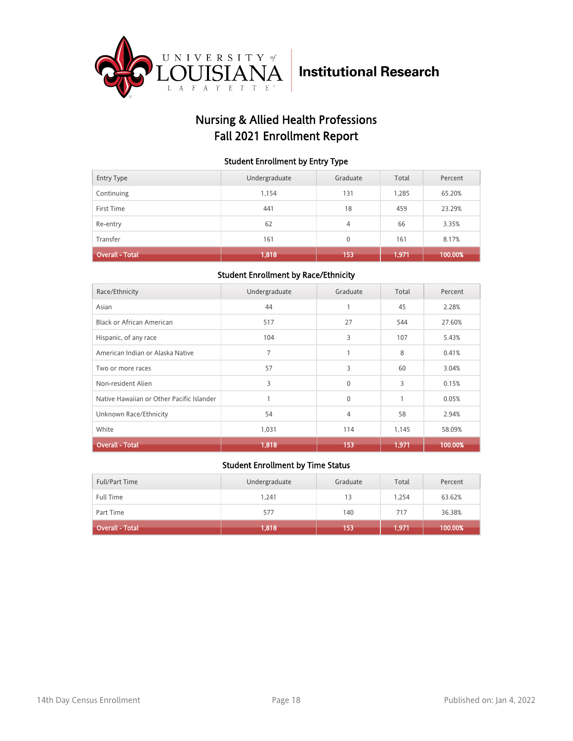

## Nursing & Allied Health Professions Fall 2021 Enrollment Report

#### Student Enrollment by Entry Type

| <b>Entry Type</b>      | Undergraduate | Graduate | Total | Percent |
|------------------------|---------------|----------|-------|---------|
| Continuing             | 1,154         | 131      | 1,285 | 65.20%  |
| First Time             | 441           | 18       | 459   | 23.29%  |
| Re-entry               | 62            | 4        | 66    | 3.35%   |
| Transfer               | 161           | $\Omega$ | 161   | 8.17%   |
| <b>Overall - Total</b> | 1,818         | 153      | 1,971 | 100.00% |

### Student Enrollment by Race/Ethnicity

| Race/Ethnicity                            | Undergraduate  | Graduate | Total | Percent |
|-------------------------------------------|----------------|----------|-------|---------|
| Asian                                     | 44             |          | 45    | 2.28%   |
| Black or African American                 | 517            | 27       | 544   | 27.60%  |
| Hispanic, of any race                     | 104            | 3        | 107   | 5.43%   |
| American Indian or Alaska Native          | $\overline{7}$ | 1        | 8     | 0.41%   |
| Two or more races                         | 57             | 3        | 60    | 3.04%   |
| Non-resident Alien                        | 3              | $\Omega$ | 3     | 0.15%   |
| Native Hawaiian or Other Pacific Islander |                | $\Omega$ | 1     | 0.05%   |
| Unknown Race/Ethnicity                    | 54             | 4        | 58    | 2.94%   |
| White                                     | 1,031          | 114      | 1,145 | 58.09%  |
| <b>Overall - Total</b>                    | 1,818          | 153      | 1,971 | 100.00% |

| Full/Part Time         | Undergraduate | Graduate | Total | Percent |
|------------------------|---------------|----------|-------|---------|
| <b>Full Time</b>       | 1.241         | 13       | 1.254 | 63.62%  |
| Part Time              | 577           | 140      | 717   | 36.38%  |
| <b>Overall - Total</b> | 1,818         | 153      | 1,971 | 100.00% |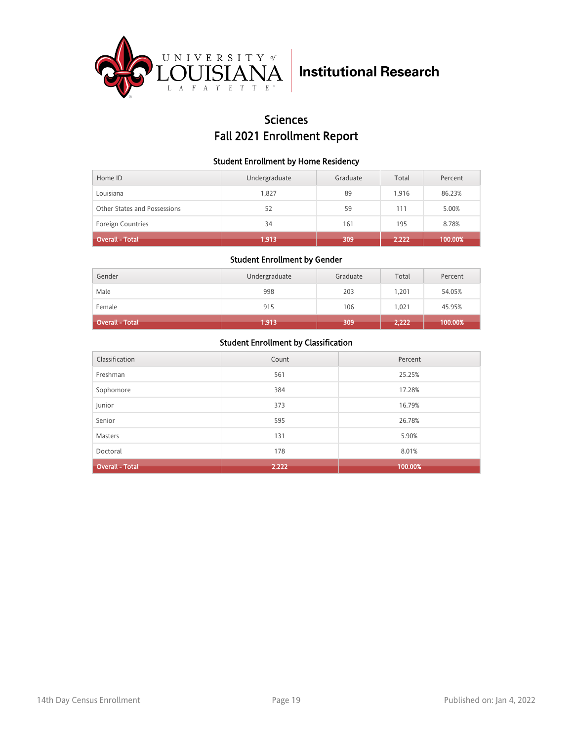

### **Sciences** Fall 2021 Enrollment Report

#### Student Enrollment by Home Residency

| Home ID                      | Undergraduate | Graduate | Total | Percent |
|------------------------------|---------------|----------|-------|---------|
| Louisiana                    | 1.827         | 89       | 1.916 | 86.23%  |
| Other States and Possessions | 52            | 59       | 111   | 5.00%   |
| <b>Foreign Countries</b>     | 34            | 161      | 195   | 8.78%   |
| <b>Overall - Total</b>       | 1,913         | 309      | 2,222 | 100.00% |

#### Student Enrollment by Gender

| Gender                 | Undergraduate | Graduate | Total | Percent |
|------------------------|---------------|----------|-------|---------|
| Male                   | 998           | 203      | 1.201 | 54.05%  |
| Female                 | 915           | 106      | 1,021 | 45.95%  |
| <b>Overall - Total</b> | 1,913         | 309      | 2,222 | 100.00% |

| Classification         | Count | Percent |
|------------------------|-------|---------|
| Freshman               | 561   | 25.25%  |
| Sophomore              | 384   | 17.28%  |
| Junior                 | 373   | 16.79%  |
| Senior                 | 595   | 26.78%  |
| <b>Masters</b>         | 131   | 5.90%   |
| Doctoral               | 178   | 8.01%   |
| <b>Overall - Total</b> | 2,222 | 100.00% |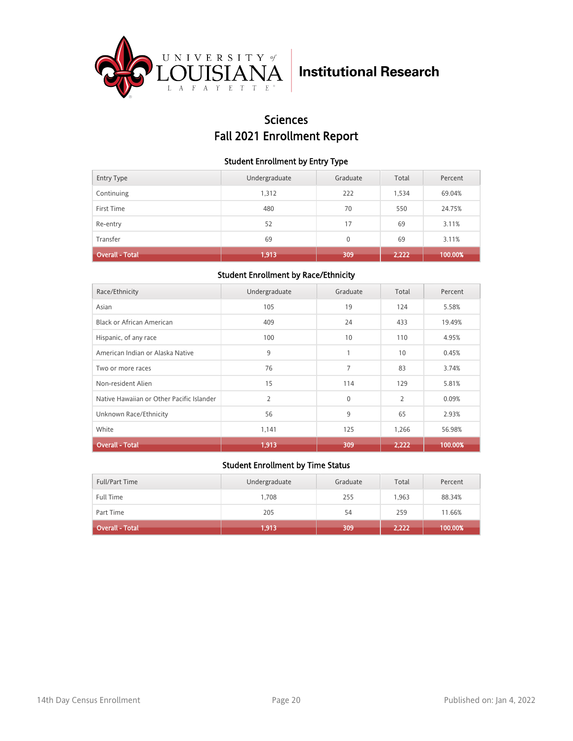

## Sciences Fall 2021 Enrollment Report

#### Student Enrollment by Entry Type

| <b>Entry Type</b> | Undergraduate | Graduate     | Total | Percent |
|-------------------|---------------|--------------|-------|---------|
| Continuing        | 1,312         | 222          | 1,534 | 69.04%  |
| First Time        | 480           | 70           | 550   | 24.75%  |
| Re-entry          | 52            | 17           | 69    | 3.11%   |
| Transfer          | 69            | $\mathbf{0}$ | 69    | 3.11%   |
| Overall - Total   | 1,913         | 309          | 2,222 | 100.00% |

### Student Enrollment by Race/Ethnicity

| Race/Ethnicity                            | Undergraduate  | Graduate     | Total          | Percent |
|-------------------------------------------|----------------|--------------|----------------|---------|
| Asian                                     | 105            | 19           | 124            | 5.58%   |
| Black or African American                 | 409            | 24           | 433            | 19.49%  |
| Hispanic, of any race                     | 100            | 10           | 110            | 4.95%   |
| American Indian or Alaska Native          | 9              | 1            | 10             | 0.45%   |
| Two or more races                         | 76             | 7            | 83             | 3.74%   |
| Non-resident Alien                        | 15             | 114          | 129            | 5.81%   |
| Native Hawaiian or Other Pacific Islander | $\overline{2}$ | $\mathbf{0}$ | $\overline{2}$ | 0.09%   |
| Unknown Race/Ethnicity                    | 56             | 9            | 65             | 2.93%   |
| White                                     | 1,141          | 125          | 1,266          | 56.98%  |
| <b>Overall - Total</b>                    | 1,913          | 309          | 2,222          | 100.00% |

| Full/Part Time         | Undergraduate | Graduate | Total | Percent |
|------------------------|---------------|----------|-------|---------|
| <b>Full Time</b>       | 1.708         | 255      | 1.963 | 88.34%  |
| Part Time              | 205           | 54       | 259   | 11.66%  |
| <b>Overall - Total</b> | 1,913         | 309      | 2,222 | 100.00% |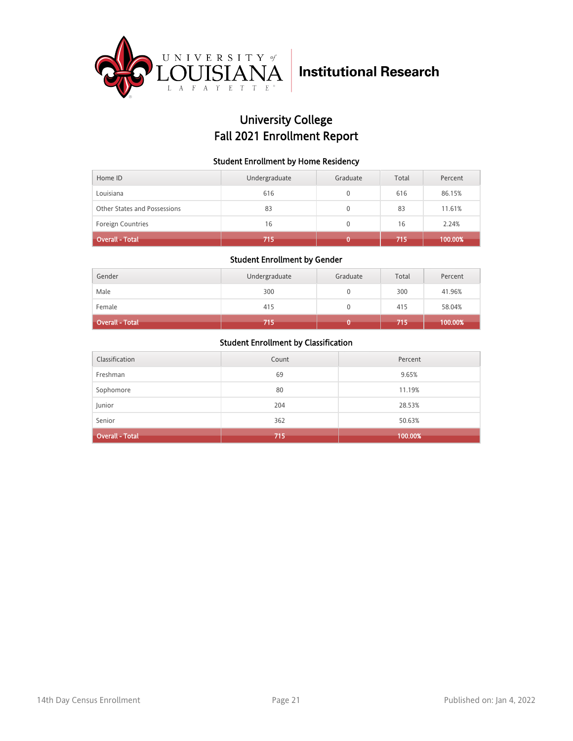

## University College Fall 2021 Enrollment Report

#### Student Enrollment by Home Residency

| Home ID                      | Undergraduate | Graduate | Total | Percent |
|------------------------------|---------------|----------|-------|---------|
| Louisiana                    | 616           |          | 616   | 86.15%  |
| Other States and Possessions | 83            | 0        | 83    | 11.61%  |
| <b>Foreign Countries</b>     | 16            | 0        | 16    | 2.24%   |
| Overall - Total <sup>1</sup> | 715           |          | 715   | 100.00% |

#### Student Enrollment by Gender

| Gender                 | Undergraduate | Graduate | Total | Percent |
|------------------------|---------------|----------|-------|---------|
| Male                   | 300           |          | 300   | 41.96%  |
| Female                 | 415           | 0        | 415   | 58.04%  |
| <b>Overall - Total</b> | 715           |          | 715   | 100.00% |

| Classification         | Count | Percent |
|------------------------|-------|---------|
| Freshman               | 69    | 9.65%   |
| Sophomore              | 80    | 11.19%  |
| Junior                 | 204   | 28.53%  |
| Senior                 | 362   | 50.63%  |
| <b>Overall - Total</b> | 715   | 100.00% |